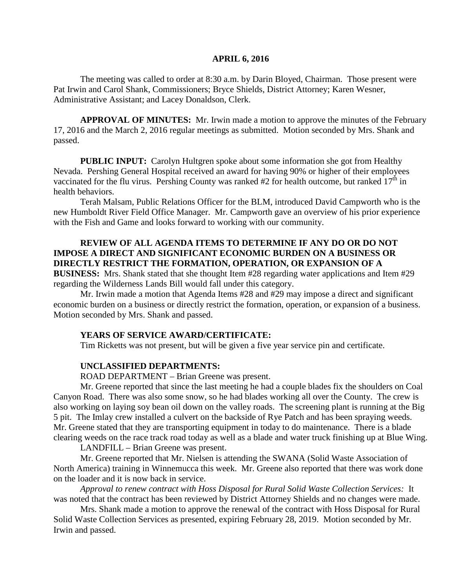### **APRIL 6, 2016**

The meeting was called to order at 8:30 a.m. by Darin Bloyed, Chairman. Those present were Pat Irwin and Carol Shank, Commissioners; Bryce Shields, District Attorney; Karen Wesner, Administrative Assistant; and Lacey Donaldson, Clerk.

**APPROVAL OF MINUTES:** Mr. Irwin made a motion to approve the minutes of the February 17, 2016 and the March 2, 2016 regular meetings as submitted. Motion seconded by Mrs. Shank and passed.

 **PUBLIC INPUT:** Carolyn Hultgren spoke about some information she got from Healthy Nevada. Pershing General Hospital received an award for having 90% or higher of their employees vaccinated for the flu virus. Pershing County was ranked #2 for health outcome, but ranked  $17<sup>th</sup>$  in health behaviors.

Terah Malsam, Public Relations Officer for the BLM, introduced David Campworth who is the new Humboldt River Field Office Manager. Mr. Campworth gave an overview of his prior experience with the Fish and Game and looks forward to working with our community.

### **REVIEW OF ALL AGENDA ITEMS TO DETERMINE IF ANY DO OR DO NOT IMPOSE A DIRECT AND SIGNIFICANT ECONOMIC BURDEN ON A BUSINESS OR DIRECTLY RESTRICT THE FORMATION, OPERATION, OR EXPANSION OF A**

**BUSINESS:** Mrs. Shank stated that she thought Item #28 regarding water applications and Item #29 regarding the Wilderness Lands Bill would fall under this category.

Mr. Irwin made a motion that Agenda Items #28 and #29 may impose a direct and significant economic burden on a business or directly restrict the formation, operation, or expansion of a business. Motion seconded by Mrs. Shank and passed.

### **YEARS OF SERVICE AWARD/CERTIFICATE:**

Tim Ricketts was not present, but will be given a five year service pin and certificate.

#### **UNCLASSIFIED DEPARTMENTS:**

ROAD DEPARTMENT – Brian Greene was present.

Mr. Greene reported that since the last meeting he had a couple blades fix the shoulders on Coal Canyon Road. There was also some snow, so he had blades working all over the County. The crew is also working on laying soy bean oil down on the valley roads. The screening plant is running at the Big 5 pit. The Imlay crew installed a culvert on the backside of Rye Patch and has been spraying weeds. Mr. Greene stated that they are transporting equipment in today to do maintenance. There is a blade clearing weeds on the race track road today as well as a blade and water truck finishing up at Blue Wing.

LANDFILL – Brian Greene was present.

Mr. Greene reported that Mr. Nielsen is attending the SWANA (Solid Waste Association of North America) training in Winnemucca this week. Mr. Greene also reported that there was work done on the loader and it is now back in service.

*Approval to renew contract with Hoss Disposal for Rural Solid Waste Collection Services:* It was noted that the contract has been reviewed by District Attorney Shields and no changes were made.

Mrs. Shank made a motion to approve the renewal of the contract with Hoss Disposal for Rural Solid Waste Collection Services as presented, expiring February 28, 2019. Motion seconded by Mr. Irwin and passed.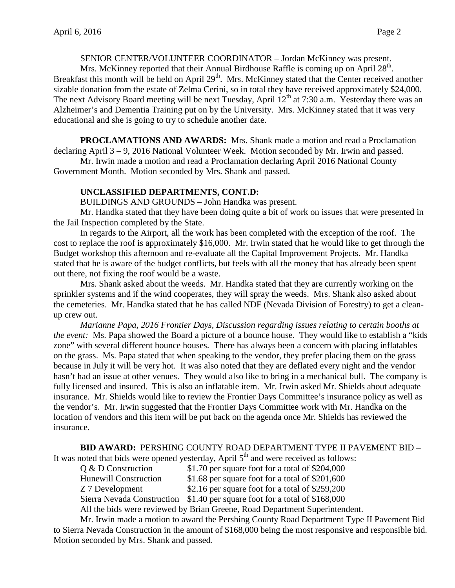## SENIOR CENTER/VOLUNTEER COORDINATOR – Jordan McKinney was present.

Mrs. McKinney reported that their Annual Birdhouse Raffle is coming up on April  $28<sup>th</sup>$ . Breakfast this month will be held on April 29<sup>th</sup>. Mrs. McKinney stated that the Center received another sizable donation from the estate of Zelma Cerini, so in total they have received approximately \$24,000. The next Advisory Board meeting will be next Tuesday, April  $12<sup>th</sup>$  at 7:30 a.m. Yesterday there was an Alzheimer's and Dementia Training put on by the University. Mrs. McKinney stated that it was very educational and she is going to try to schedule another date.

**PROCLAMATIONS AND AWARDS:** Mrs. Shank made a motion and read a Proclamation declaring April 3 – 9, 2016 National Volunteer Week. Motion seconded by Mr. Irwin and passed.

Mr. Irwin made a motion and read a Proclamation declaring April 2016 National County Government Month. Motion seconded by Mrs. Shank and passed.

## **UNCLASSIFIED DEPARTMENTS, CONT.D:**

BUILDINGS AND GROUNDS – John Handka was present.

Mr. Handka stated that they have been doing quite a bit of work on issues that were presented in the Jail Inspection completed by the State.

In regards to the Airport, all the work has been completed with the exception of the roof. The cost to replace the roof is approximately \$16,000. Mr. Irwin stated that he would like to get through the Budget workshop this afternoon and re-evaluate all the Capital Improvement Projects. Mr. Handka stated that he is aware of the budget conflicts, but feels with all the money that has already been spent out there, not fixing the roof would be a waste.

Mrs. Shank asked about the weeds. Mr. Handka stated that they are currently working on the sprinkler systems and if the wind cooperates, they will spray the weeds. Mrs. Shank also asked about the cemeteries. Mr. Handka stated that he has called NDF (Nevada Division of Forestry) to get a cleanup crew out.

*Marianne Papa, 2016 Frontier Days, Discussion regarding issues relating to certain booths at the event:* Ms. Papa showed the Board a picture of a bounce house. They would like to establish a "kids zone" with several different bounce houses. There has always been a concern with placing inflatables on the grass. Ms. Papa stated that when speaking to the vendor, they prefer placing them on the grass because in July it will be very hot. It was also noted that they are deflated every night and the vendor hasn't had an issue at other venues. They would also like to bring in a mechanical bull. The company is fully licensed and insured. This is also an inflatable item. Mr. Irwin asked Mr. Shields about adequate insurance. Mr. Shields would like to review the Frontier Days Committee's insurance policy as well as the vendor's. Mr. Irwin suggested that the Frontier Days Committee work with Mr. Handka on the location of vendors and this item will be put back on the agenda once Mr. Shields has reviewed the insurance.

**BID AWARD:** PERSHING COUNTY ROAD DEPARTMENT TYPE II PAVEMENT BID –

It was noted that bids were opened yesterday, April  $5<sup>th</sup>$  and were received as follows:

| $Q & D$ Construction                                                        | \$1.70 per square foot for a total of \$204,000                            |
|-----------------------------------------------------------------------------|----------------------------------------------------------------------------|
| <b>Hunewill Construction</b>                                                | \$1.68 per square foot for a total of $$201,600$                           |
| Z 7 Development                                                             | \$2.16 per square foot for a total of \$259,200                            |
|                                                                             | Sierra Nevada Construction \$1.40 per square foot for a total of \$168,000 |
| All the bids were reviewed by Brian Greene, Road Department Superintendent. |                                                                            |

Mr. Irwin made a motion to award the Pershing County Road Department Type II Pavement Bid to Sierra Nevada Construction in the amount of \$168,000 being the most responsive and responsible bid. Motion seconded by Mrs. Shank and passed.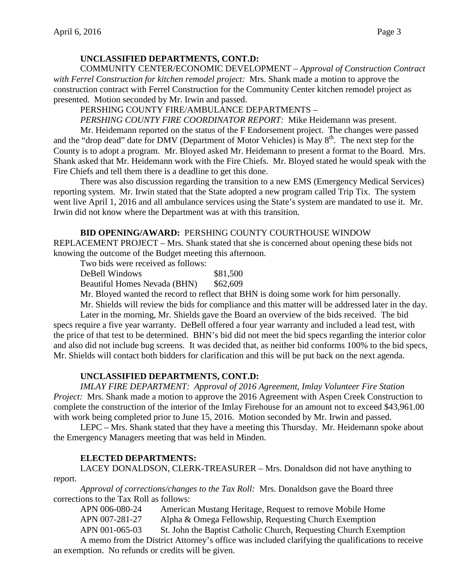# **UNCLASSIFIED DEPARTMENTS, CONT.D:**

COMMUNITY CENTER/ECONOMIC DEVELOPMENT – *Approval of Construction Contract with Ferrel Construction for kitchen remodel project:* Mrs. Shank made a motion to approve the construction contract with Ferrel Construction for the Community Center kitchen remodel project as presented. Motion seconded by Mr. Irwin and passed.

PERSHING COUNTY FIRE/AMBULANCE DEPARTMENTS –

*PERSHING COUNTY FIRE COORDINATOR REPORT:* Mike Heidemann was present.

Mr. Heidemann reported on the status of the F Endorsement project. The changes were passed and the "drop dead" date for DMV (Department of Motor Vehicles) is May  $8<sup>th</sup>$ . The next step for the County is to adopt a program. Mr. Bloyed asked Mr. Heidemann to present a format to the Board. Mrs. Shank asked that Mr. Heidemann work with the Fire Chiefs. Mr. Bloyed stated he would speak with the Fire Chiefs and tell them there is a deadline to get this done.

There was also discussion regarding the transition to a new EMS (Emergency Medical Services) reporting system. Mr. Irwin stated that the State adopted a new program called Trip Tix. The system went live April 1, 2016 and all ambulance services using the State's system are mandated to use it. Mr. Irwin did not know where the Department was at with this transition.

# **BID OPENING/AWARD:** PERSHING COUNTY COURTHOUSE WINDOW

REPLACEMENT PROJECT – Mrs. Shank stated that she is concerned about opening these bids not knowing the outcome of the Budget meeting this afternoon.

Two bids were received as follows:

DeBell Windows \$81,500 Beautiful Homes Nevada (BHN) \$62,609

Mr. Bloyed wanted the record to reflect that BHN is doing some work for him personally.

Mr. Shields will review the bids for compliance and this matter will be addressed later in the day. Later in the morning, Mr. Shields gave the Board an overview of the bids received. The bid specs require a five year warranty. DeBell offered a four year warranty and included a lead test, with the price of that test to be determined. BHN's bid did not meet the bid specs regarding the interior color and also did not include bug screens. It was decided that, as neither bid conforms 100% to the bid specs, Mr. Shields will contact both bidders for clarification and this will be put back on the next agenda.

# **UNCLASSIFIED DEPARTMENTS, CONT.D:**

*IMLAY FIRE DEPARTMENT: Approval of 2016 Agreement, Imlay Volunteer Fire Station Project:* Mrs. Shank made a motion to approve the 2016 Agreement with Aspen Creek Construction to complete the construction of the interior of the Imlay Firehouse for an amount not to exceed \$43,961.00 with work being completed prior to June 15, 2016. Motion seconded by Mr. Irwin and passed.

LEPC – Mrs. Shank stated that they have a meeting this Thursday. Mr. Heidemann spoke about the Emergency Managers meeting that was held in Minden.

# **ELECTED DEPARTMENTS:**

LACEY DONALDSON, CLERK-TREASURER – Mrs. Donaldson did not have anything to report.

*Approval of corrections/changes to the Tax Roll:* Mrs. Donaldson gave the Board three corrections to the Tax Roll as follows:

APN 006-080-24 American Mustang Heritage, Request to remove Mobile Home APN 007-281-27 Alpha & Omega Fellowship, Requesting Church Exemption APN 001-065-03 St. John the Baptist Catholic Church, Requesting Church Exemption

A memo from the District Attorney's office was included clarifying the qualifications to receive an exemption. No refunds or credits will be given.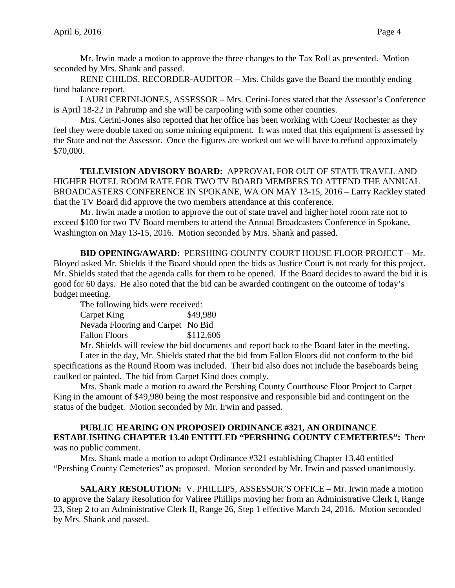Mr. Irwin made a motion to approve the three changes to the Tax Roll as presented. Motion seconded by Mrs. Shank and passed.

RENE CHILDS, RECORDER-AUDITOR – Mrs. Childs gave the Board the monthly ending fund balance report.

LAURI CERINI-JONES, ASSESSOR – Mrs. Cerini-Jones stated that the Assessor's Conference is April 18-22 in Pahrump and she will be carpooling with some other counties.

Mrs. Cerini-Jones also reported that her office has been working with Coeur Rochester as they feel they were double taxed on some mining equipment. It was noted that this equipment is assessed by the State and not the Assessor. Once the figures are worked out we will have to refund approximately \$70,000.

**TELEVISION ADVISORY BOARD:** APPROVAL FOR OUT OF STATE TRAVEL AND HIGHER HOTEL ROOM RATE FOR TWO TV BOARD MEMBERS TO ATTEND THE ANNUAL BROADCASTERS CONFERENCE IN SPOKANE, WA ON MAY 13-15, 2016 – Larry Rackley stated that the TV Board did approve the two members attendance at this conference.

Mr. Irwin made a motion to approve the out of state travel and higher hotel room rate not to exceed \$100 for two TV Board members to attend the Annual Broadcasters Conference in Spokane, Washington on May 13-15, 2016. Motion seconded by Mrs. Shank and passed.

**BID OPENING/AWARD:** PERSHING COUNTY COURT HOUSE FLOOR PROJECT – Mr. Bloyed asked Mr. Shields if the Board should open the bids as Justice Court is not ready for this project. Mr. Shields stated that the agenda calls for them to be opened. If the Board decides to award the bid it is good for 60 days. He also noted that the bid can be awarded contingent on the outcome of today's budget meeting.

The following bids were received: Carpet King \$49,980

Nevada Flooring and Carpet No Bid Fallon Floors \$112,606

Mr. Shields will review the bid documents and report back to the Board later in the meeting. Later in the day, Mr. Shields stated that the bid from Fallon Floors did not conform to the bid specifications as the Round Room was included. Their bid also does not include the baseboards being caulked or painted. The bid from Carpet Kind does comply.

Mrs. Shank made a motion to award the Pershing County Courthouse Floor Project to Carpet King in the amount of \$49,980 being the most responsive and responsible bid and contingent on the status of the budget. Motion seconded by Mr. Irwin and passed.

### **PUBLIC HEARING ON PROPOSED ORDINANCE #321, AN ORDINANCE ESTABLISHING CHAPTER 13.40 ENTITLED "PERSHING COUNTY CEMETERIES":** There was no public comment.

Mrs. Shank made a motion to adopt Ordinance #321 establishing Chapter 13.40 entitled "Pershing County Cemeteries" as proposed. Motion seconded by Mr. Irwin and passed unanimously.

**SALARY RESOLUTION:** V. PHILLIPS, ASSESSOR'S OFFICE – Mr. Irwin made a motion to approve the Salary Resolution for Valiree Phillips moving her from an Administrative Clerk I, Range 23, Step 2 to an Administrative Clerk II, Range 26, Step 1 effective March 24, 2016. Motion seconded by Mrs. Shank and passed.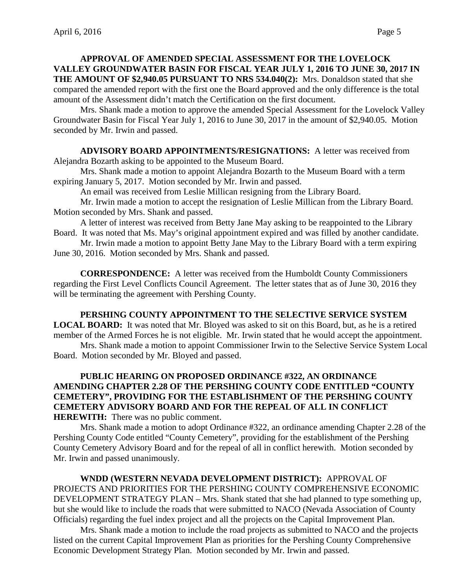# **APPROVAL OF AMENDED SPECIAL ASSESSMENT FOR THE LOVELOCK VALLEY GROUNDWATER BASIN FOR FISCAL YEAR JULY 1, 2016 TO JUNE 30, 2017 IN THE AMOUNT OF \$2,940.05 PURSUANT TO NRS 534.040(2):** Mrs. Donaldson stated that she compared the amended report with the first one the Board approved and the only difference is the total amount of the Assessment didn't match the Certification on the first document.

Mrs. Shank made a motion to approve the amended Special Assessment for the Lovelock Valley Groundwater Basin for Fiscal Year July 1, 2016 to June 30, 2017 in the amount of \$2,940.05. Motion seconded by Mr. Irwin and passed.

**ADVISORY BOARD APPOINTMENTS/RESIGNATIONS:** A letter was received from Alejandra Bozarth asking to be appointed to the Museum Board.

Mrs. Shank made a motion to appoint Alejandra Bozarth to the Museum Board with a term expiring January 5, 2017. Motion seconded by Mr. Irwin and passed.

An email was received from Leslie Millican resigning from the Library Board.

Mr. Irwin made a motion to accept the resignation of Leslie Millican from the Library Board. Motion seconded by Mrs. Shank and passed.

A letter of interest was received from Betty Jane May asking to be reappointed to the Library Board. It was noted that Ms. May's original appointment expired and was filled by another candidate.

Mr. Irwin made a motion to appoint Betty Jane May to the Library Board with a term expiring June 30, 2016. Motion seconded by Mrs. Shank and passed.

**CORRESPONDENCE:** A letter was received from the Humboldt County Commissioners regarding the First Level Conflicts Council Agreement. The letter states that as of June 30, 2016 they will be terminating the agreement with Pershing County.

# **PERSHING COUNTY APPOINTMENT TO THE SELECTIVE SERVICE SYSTEM**

**LOCAL BOARD:** It was noted that Mr. Bloyed was asked to sit on this Board, but, as he is a retired member of the Armed Forces he is not eligible. Mr. Irwin stated that he would accept the appointment.

Mrs. Shank made a motion to appoint Commissioner Irwin to the Selective Service System Local Board. Motion seconded by Mr. Bloyed and passed.

# **PUBLIC HEARING ON PROPOSED ORDINANCE #322, AN ORDINANCE AMENDING CHAPTER 2.28 OF THE PERSHING COUNTY CODE ENTITLED "COUNTY CEMETERY", PROVIDING FOR THE ESTABLISHMENT OF THE PERSHING COUNTY CEMETERY ADVISORY BOARD AND FOR THE REPEAL OF ALL IN CONFLICT HEREWITH:** There was no public comment.

Mrs. Shank made a motion to adopt Ordinance #322, an ordinance amending Chapter 2.28 of the Pershing County Code entitled "County Cemetery", providing for the establishment of the Pershing County Cemetery Advisory Board and for the repeal of all in conflict herewith. Motion seconded by Mr. Irwin and passed unanimously.

**WNDD (WESTERN NEVADA DEVELOPMENT DISTRICT):** APPROVAL OF PROJECTS AND PRIORITIES FOR THE PERSHING COUNTY COMPREHENSIVE ECONOMIC DEVELOPMENT STRATEGY PLAN – Mrs. Shank stated that she had planned to type something up, but she would like to include the roads that were submitted to NACO (Nevada Association of County Officials) regarding the fuel index project and all the projects on the Capital Improvement Plan.

Mrs. Shank made a motion to include the road projects as submitted to NACO and the projects listed on the current Capital Improvement Plan as priorities for the Pershing County Comprehensive Economic Development Strategy Plan. Motion seconded by Mr. Irwin and passed.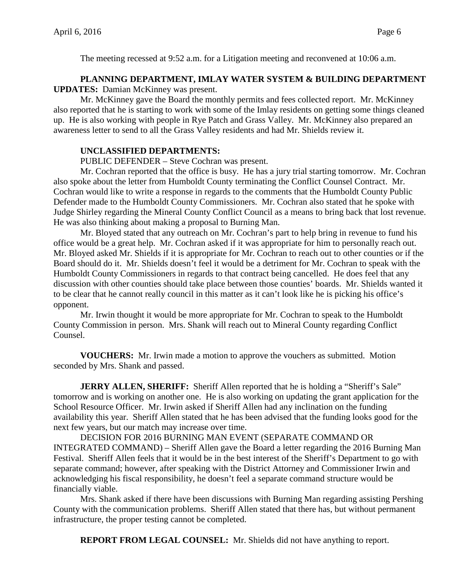The meeting recessed at 9:52 a.m. for a Litigation meeting and reconvened at 10:06 a.m.

# **PLANNING DEPARTMENT, IMLAY WATER SYSTEM & BUILDING DEPARTMENT UPDATES:** Damian McKinney was present.

Mr. McKinney gave the Board the monthly permits and fees collected report. Mr. McKinney also reported that he is starting to work with some of the Imlay residents on getting some things cleaned up. He is also working with people in Rye Patch and Grass Valley. Mr. McKinney also prepared an awareness letter to send to all the Grass Valley residents and had Mr. Shields review it.

# **UNCLASSIFIED DEPARTMENTS:**

PUBLIC DEFENDER – Steve Cochran was present.

 Mr. Cochran reported that the office is busy. He has a jury trial starting tomorrow. Mr. Cochran also spoke about the letter from Humboldt County terminating the Conflict Counsel Contract. Mr. Cochran would like to write a response in regards to the comments that the Humboldt County Public Defender made to the Humboldt County Commissioners. Mr. Cochran also stated that he spoke with Judge Shirley regarding the Mineral County Conflict Council as a means to bring back that lost revenue. He was also thinking about making a proposal to Burning Man.

Mr. Bloyed stated that any outreach on Mr. Cochran's part to help bring in revenue to fund his office would be a great help. Mr. Cochran asked if it was appropriate for him to personally reach out. Mr. Bloyed asked Mr. Shields if it is appropriate for Mr. Cochran to reach out to other counties or if the Board should do it. Mr. Shields doesn't feel it would be a detriment for Mr. Cochran to speak with the Humboldt County Commissioners in regards to that contract being cancelled. He does feel that any discussion with other counties should take place between those counties' boards. Mr. Shields wanted it to be clear that he cannot really council in this matter as it can't look like he is picking his office's opponent.

Mr. Irwin thought it would be more appropriate for Mr. Cochran to speak to the Humboldt County Commission in person. Mrs. Shank will reach out to Mineral County regarding Conflict Counsel.

**VOUCHERS:** Mr. Irwin made a motion to approve the vouchers as submitted. Motion seconded by Mrs. Shank and passed.

**JERRY ALLEN, SHERIFF:** Sheriff Allen reported that he is holding a "Sheriff's Sale" tomorrow and is working on another one. He is also working on updating the grant application for the School Resource Officer. Mr. Irwin asked if Sheriff Allen had any inclination on the funding availability this year. Sheriff Allen stated that he has been advised that the funding looks good for the next few years, but our match may increase over time.

DECISION FOR 2016 BURNING MAN EVENT (SEPARATE COMMAND OR INTEGRATED COMMAND) – Sheriff Allen gave the Board a letter regarding the 2016 Burning Man Festival. Sheriff Allen feels that it would be in the best interest of the Sheriff's Department to go with separate command; however, after speaking with the District Attorney and Commissioner Irwin and acknowledging his fiscal responsibility, he doesn't feel a separate command structure would be financially viable.

Mrs. Shank asked if there have been discussions with Burning Man regarding assisting Pershing County with the communication problems. Sheriff Allen stated that there has, but without permanent infrastructure, the proper testing cannot be completed.

**REPORT FROM LEGAL COUNSEL:** Mr. Shields did not have anything to report.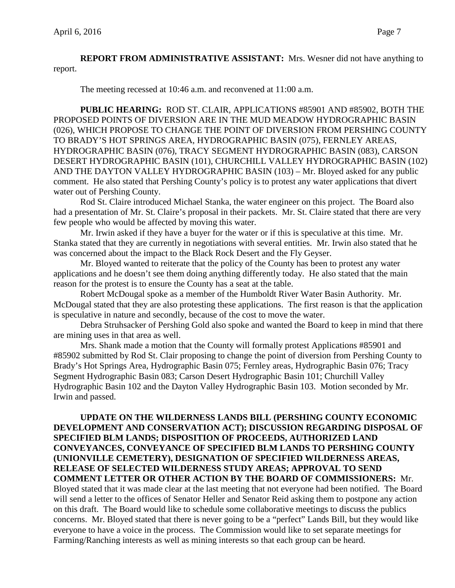**REPORT FROM ADMINISTRATIVE ASSISTANT:** Mrs. Wesner did not have anything to report.

The meeting recessed at 10:46 a.m. and reconvened at 11:00 a.m.

**PUBLIC HEARING:** ROD ST. CLAIR, APPLICATIONS #85901 AND #85902, BOTH THE PROPOSED POINTS OF DIVERSION ARE IN THE MUD MEADOW HYDROGRAPHIC BASIN (026), WHICH PROPOSE TO CHANGE THE POINT OF DIVERSION FROM PERSHING COUNTY TO BRADY'S HOT SPRINGS AREA, HYDROGRAPHIC BASIN (075), FERNLEY AREAS, HYDROGRAPHIC BASIN (076), TRACY SEGMENT HYDROGRAPHIC BASIN (083), CARSON DESERT HYDROGRAPHIC BASIN (101), CHURCHILL VALLEY HYDROGRAPHIC BASIN (102) AND THE DAYTON VALLEY HYDROGRAPHIC BASIN (103) – Mr. Bloyed asked for any public comment. He also stated that Pershing County's policy is to protest any water applications that divert water out of Pershing County.

Rod St. Claire introduced Michael Stanka, the water engineer on this project. The Board also had a presentation of Mr. St. Claire's proposal in their packets. Mr. St. Claire stated that there are very few people who would be affected by moving this water.

Mr. Irwin asked if they have a buyer for the water or if this is speculative at this time. Mr. Stanka stated that they are currently in negotiations with several entities. Mr. Irwin also stated that he was concerned about the impact to the Black Rock Desert and the Fly Geyser.

Mr. Bloyed wanted to reiterate that the policy of the County has been to protest any water applications and he doesn't see them doing anything differently today. He also stated that the main reason for the protest is to ensure the County has a seat at the table.

Robert McDougal spoke as a member of the Humboldt River Water Basin Authority. Mr. McDougal stated that they are also protesting these applications. The first reason is that the application is speculative in nature and secondly, because of the cost to move the water.

Debra Struhsacker of Pershing Gold also spoke and wanted the Board to keep in mind that there are mining uses in that area as well.

Mrs. Shank made a motion that the County will formally protest Applications #85901 and #85902 submitted by Rod St. Clair proposing to change the point of diversion from Pershing County to Brady's Hot Springs Area, Hydrographic Basin 075; Fernley areas, Hydrographic Basin 076; Tracy Segment Hydrographic Basin 083; Carson Desert Hydrographic Basin 101; Churchill Valley Hydrographic Basin 102 and the Dayton Valley Hydrographic Basin 103. Motion seconded by Mr. Irwin and passed.

**UPDATE ON THE WILDERNESS LANDS BILL (PERSHING COUNTY ECONOMIC DEVELOPMENT AND CONSERVATION ACT); DISCUSSION REGARDING DISPOSAL OF SPECIFIED BLM LANDS; DISPOSITION OF PROCEEDS, AUTHORIZED LAND CONVEYANCES, CONVEYANCE OF SPECIFIED BLM LANDS TO PERSHING COUNTY (UNIONVILLE CEMETERY), DESIGNATION OF SPECIFIED WILDERNESS AREAS, RELEASE OF SELECTED WILDERNESS STUDY AREAS; APPROVAL TO SEND COMMENT LETTER OR OTHER ACTION BY THE BOARD OF COMMISSIONERS:** Mr. Bloyed stated that it was made clear at the last meeting that not everyone had been notified. The Board

will send a letter to the offices of Senator Heller and Senator Reid asking them to postpone any action on this draft. The Board would like to schedule some collaborative meetings to discuss the publics concerns. Mr. Bloyed stated that there is never going to be a "perfect" Lands Bill, but they would like everyone to have a voice in the process. The Commission would like to set separate meetings for Farming/Ranching interests as well as mining interests so that each group can be heard.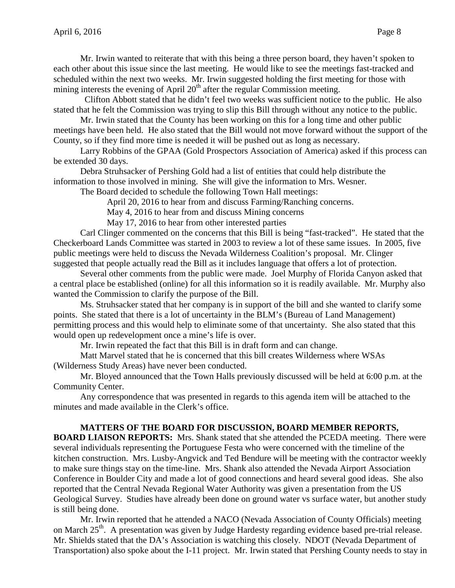Mr. Irwin wanted to reiterate that with this being a three person board, they haven't spoken to each other about this issue since the last meeting. He would like to see the meetings fast-tracked and scheduled within the next two weeks. Mr. Irwin suggested holding the first meeting for those with mining interests the evening of April  $20<sup>th</sup>$  after the regular Commission meeting.

Clifton Abbott stated that he didn't feel two weeks was sufficient notice to the public. He also stated that he felt the Commission was trying to slip this Bill through without any notice to the public.

Mr. Irwin stated that the County has been working on this for a long time and other public meetings have been held. He also stated that the Bill would not move forward without the support of the County, so if they find more time is needed it will be pushed out as long as necessary.

Larry Robbins of the GPAA (Gold Prospectors Association of America) asked if this process can be extended 30 days.

Debra Struhsacker of Pershing Gold had a list of entities that could help distribute the information to those involved in mining. She will give the information to Mrs. Wesner.

The Board decided to schedule the following Town Hall meetings:

April 20, 2016 to hear from and discuss Farming/Ranching concerns.

May 4, 2016 to hear from and discuss Mining concerns

May 17, 2016 to hear from other interested parties

Carl Clinger commented on the concerns that this Bill is being "fast-tracked". He stated that the Checkerboard Lands Committee was started in 2003 to review a lot of these same issues. In 2005, five public meetings were held to discuss the Nevada Wilderness Coalition's proposal. Mr. Clinger suggested that people actually read the Bill as it includes language that offers a lot of protection.

Several other comments from the public were made. Joel Murphy of Florida Canyon asked that a central place be established (online) for all this information so it is readily available. Mr. Murphy also wanted the Commission to clarify the purpose of the Bill.

Ms. Struhsacker stated that her company is in support of the bill and she wanted to clarify some points. She stated that there is a lot of uncertainty in the BLM's (Bureau of Land Management) permitting process and this would help to eliminate some of that uncertainty. She also stated that this would open up redevelopment once a mine's life is over.

Mr. Irwin repeated the fact that this Bill is in draft form and can change.

Matt Marvel stated that he is concerned that this bill creates Wilderness where WSAs (Wilderness Study Areas) have never been conducted.

Mr. Bloyed announced that the Town Halls previously discussed will be held at 6:00 p.m. at the Community Center.

Any correspondence that was presented in regards to this agenda item will be attached to the minutes and made available in the Clerk's office.

# **MATTERS OF THE BOARD FOR DISCUSSION, BOARD MEMBER REPORTS,**

**BOARD LIAISON REPORTS:** Mrs. Shank stated that she attended the PCEDA meeting. There were several individuals representing the Portuguese Festa who were concerned with the timeline of the kitchen construction. Mrs. Lusby-Angvick and Ted Bendure will be meeting with the contractor weekly to make sure things stay on the time-line. Mrs. Shank also attended the Nevada Airport Association Conference in Boulder City and made a lot of good connections and heard several good ideas. She also reported that the Central Nevada Regional Water Authority was given a presentation from the US Geological Survey. Studies have already been done on ground water vs surface water, but another study is still being done.

Mr. Irwin reported that he attended a NACO (Nevada Association of County Officials) meeting on March 25<sup>th</sup>. A presentation was given by Judge Hardesty regarding evidence based pre-trial release. Mr. Shields stated that the DA's Association is watching this closely. NDOT (Nevada Department of Transportation) also spoke about the I-11 project. Mr. Irwin stated that Pershing County needs to stay in